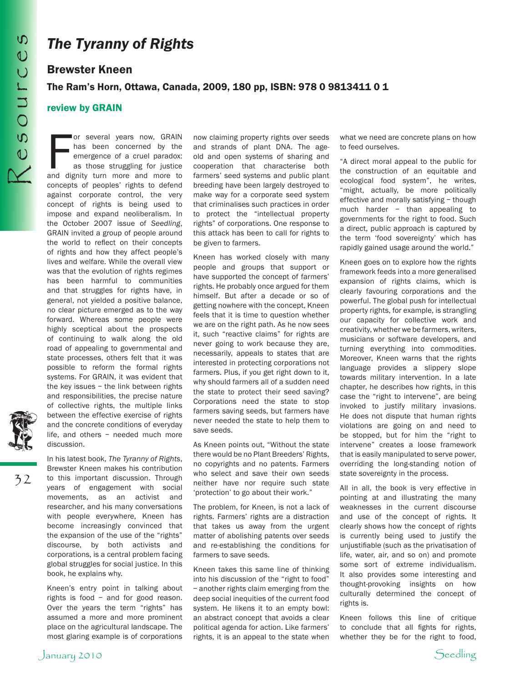32

## *The Tyranny of Rights*

## Brewster Kneen

## The Ram's Horn, Ottawa, Canada, 2009, 180 pp, ISBN: 978 0 9813411 0 1

## review by GRAIN

or several years now, GRAIN<br>has been concerned by the<br>emergence of a cruel paradox:<br>as those struggling for justice<br>and dignity turn more and more to or several years now, GRAIN has been concerned by the emergence of a cruel paradox: as those struggling for justice concepts of peoples' rights to defend against corporate control, the very concept of rights is being used to impose and expand neoliberalism. In the October 2007 issue of *Seedling*, GRAIN invited a group of people around the world to reflect on their concepts of rights and how they affect people's lives and welfare. While the overall view was that the evolution of rights regimes has been harmful to communities and that struggles for rights have, in general, not yielded a positive balance, no clear picture emerged as to the way forward. Whereas some people were highly sceptical about the prospects of continuing to walk along the old road of appealing to governmental and state processes, others felt that it was possible to reform the formal rights systems. For GRAIN, it was evident that the key issues – the link between rights and responsibilities, the precise nature of collective rights, the multiple links between the effective exercise of rights and the concrete conditions of everyday life, and others – needed much more discussion.

In his latest book, *The Tyranny of Rights*, Brewster Kneen makes his contribution to this important discussion. Through years of engagement with social movements, as an activist and researcher, and his many conversations with people everywhere, Kneen has become increasingly convinced that the expansion of the use of the "rights" discourse, by both activists and corporations, is a central problem facing global struggles for social justice. In this book, he explains why.

Kneen's entry point in talking about rights is food – and for good reason. Over the years the term "rights" has assumed a more and more prominent place on the agricultural landscape. The most glaring example is of corporations now claiming property rights over seeds and strands of plant DNA. The ageold and open systems of sharing and cooperation that characterise both farmers' seed systems and public plant breeding have been largely destroyed to make way for a corporate seed system that criminalises such practices in order to protect the "intellectual property rights" of corporations. One response to this attack has been to call for rights to be given to farmers.

Kneen has worked closely with many people and groups that support or have supported the concept of farmers' rights. He probably once argued for them himself. But after a decade or so of getting nowhere with the concept, Kneen feels that it is time to question whether we are on the right path. As he now sees it, such "reactive claims" for rights are never going to work because they are, necessarily, appeals to states that are interested in protecting corporations not farmers. Plus, if you get right down to it, why should farmers all of a sudden need the state to protect their seed saving? Corporations need the state to stop farmers saving seeds, but farmers have never needed the state to help them to save seeds.

As Kneen points out, "Without the state there would be no Plant Breeders' Rights, no copyrights and no patents. Farmers who select and save their own seeds neither have nor require such state 'protection' to go about their work."

The problem, for Kneen, is not a lack of rights. Farmers' rights are a distraction that takes us away from the urgent matter of abolishing patents over seeds and re-establishing the conditions for farmers to save seeds.

Kneen takes this same line of thinking into his discussion of the "right to food" – another rights claim emerging from the deep social inequities of the current food system. He likens it to an empty bowl: an abstract concept that avoids a clear political agenda for action. Like farmers' rights, it is an appeal to the state when what we need are concrete plans on how to feed ourselves.

"A direct moral appeal to the public for the construction of an equitable and ecological food system", he writes, "might, actually, be more politically effective and morally satisfying – though much harder – than appealing to governments for the right to food. Such a direct, public approach is captured by the term 'food sovereignty' which has rapidly gained usage around the world."

Kneen goes on to explore how the rights framework feeds into a more generalised expansion of rights claims, which is clearly favouring corporations and the powerful. The global push for intellectual property rights, for example, is strangling our capacity for collective work and creativity, whether we be farmers, writers, musicians or software developers, and turning everything into commodities. Moreover, Kneen warns that the rights language provides a slippery slope towards military intervention. In a late chapter, he describes how rights, in this case the "right to intervene", are being invoked to justify military invasions. He does not dispute that human rights violations are going on and need to be stopped, but for him the "right to intervene" creates a loose framework that is easily manipulated to serve power, overriding the long-standing notion of state sovereignty in the process.

All in all, the book is very effective in pointing at and illustrating the many weaknesses in the current discourse and use of the concept of rights. It clearly shows how the concept of rights is currently being used to justify the unjustifiable (such as the privatisation of life, water, air, and so on) and promote some sort of extreme individualism. It also provides some interesting and thought-provoking insights on how culturally determined the concept of rights is.

Kneen follows this line of critique to conclude that all fights for rights, whether they be for the right to food,